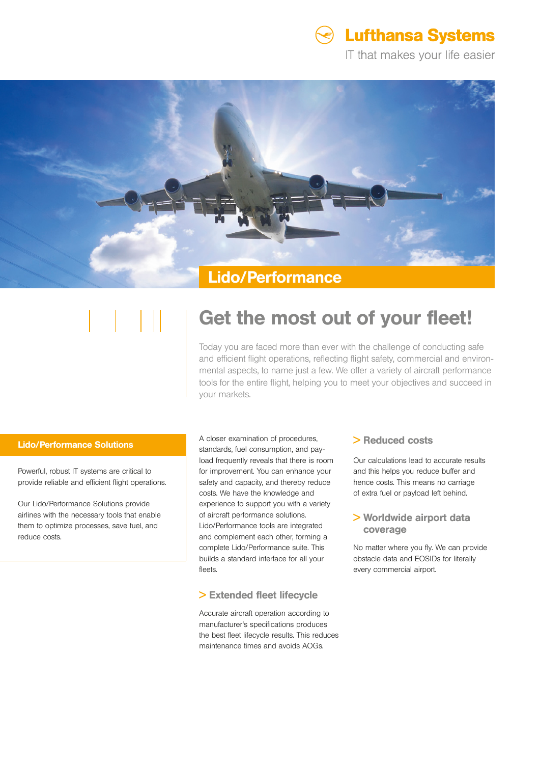

IT that makes your life easier



# Get the most out of your fleet!

Today you are faced more than ever with the challenge of conducting safe and efficient flight operations, reflecting flight safety, commercial and environmental aspects, to name just a few. We offer a variety of aircraft performance tools for the entire flight, helping you to meet your objectives and succeed in your markets.

### Lido/Performance Solutions

Powerful, robust IT systems are critical to provide reliable and efficient flight operations.

Our Lido/Performance Solutions provide airlines with the necessary tools that enable them to optimize processes, save fuel, and reduce costs.

#### A closer examination of procedures,

standards, fuel consumption, and payload frequently reveals that there is room for improvement. You can enhance your safety and capacity, and thereby reduce costs. We have the knowledge and experience to support you with a variety of aircraft performance solutions. Lido/Performance tools are integrated and complement each other, forming a complete Lido/Performance suite. This builds a standard interface for all your fleets.

## > Extended fleet lifecycle

Accurate aircraft operation according to manufacturer's specifications produces the best fleet lifecycle results. This reduces maintenance times and avoids AOGs.

## > Reduced costs

Our calculations lead to accurate results and this helps you reduce buffer and hence costs. This means no carriage of extra fuel or payload left behind.

## > Worldwide airport data coverage

No matter where you fly. We can provide obstacle data and EOSIDs for literally every commercial airport.